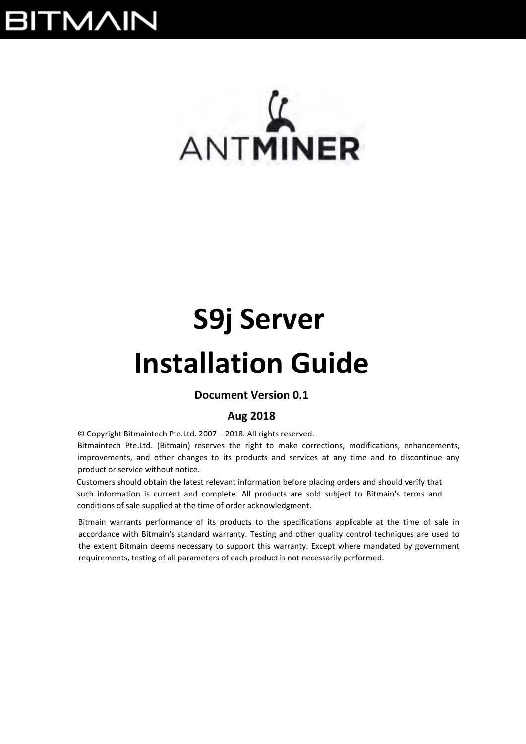## **BITMAIN**

# $\mathcal{L}$ ANTMINER

## **S9j Server**

## **Installation Guide**

## **Document Version 0.1**

## **Aug 2018**

© Copyright Bitmaintech Pte.Ltd. 2007 – 2018. All rights reserved.

Bitmaintech Pte.Ltd. (Bitmain) reserves the right to make corrections, modifications, enhancements, improvements, and other changes to its products and services at any time and to discontinue any product or service without notice.

Customers should obtain the latest relevant information before placing orders and should verify that such information is current and complete. All products are sold subject to Bitmain's terms and conditions of sale supplied at the time of order acknowledgment.

Bitmain warrants performance of its products to the specifications applicable at the time of sale in accordance with Bitmain's standard warranty. Testing and other quality control techniques are used to the extent Bitmain deems necessary to support this warranty. Except where mandated by government requirements, testing of all parameters of each product is not necessarily performed.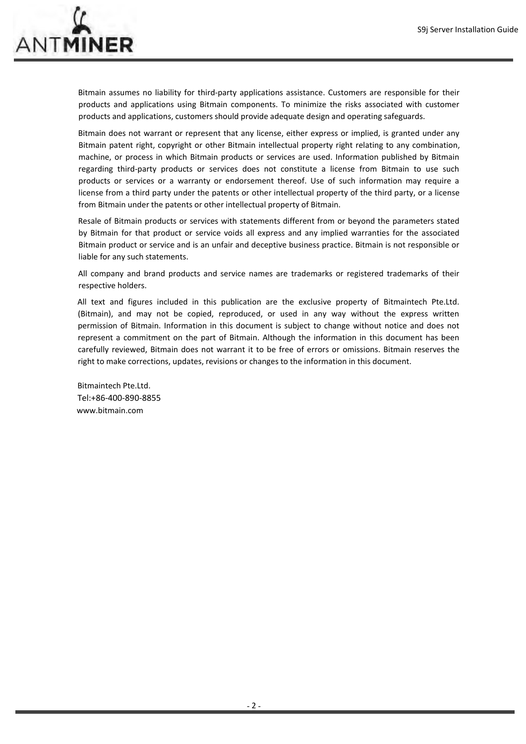

Bitmain assumes no liability for third-party applications assistance. Customers are responsible for their products and applications using Bitmain components. To minimize the risks associated with customer products and applications, customers should provide adequate design and operating safeguards.

Bitmain does not warrant or represent that any license, either express or implied, is granted under any Bitmain patent right, copyright or other Bitmain intellectual property right relating to any combination, machine, or process in which Bitmain products or services are used. Information published by Bitmain regarding third-party products or services does not constitute a license from Bitmain to use such products or services or a warranty or endorsement thereof. Use of such information may require a license from a third party under the patents or other intellectual property of the third party, or a license from Bitmain under the patents or other intellectual property of Bitmain.

Resale of Bitmain products or services with statements different from or beyond the parameters stated by Bitmain for that product or service voids all express and any implied warranties for the associated Bitmain product or service and is an unfair and deceptive business practice. Bitmain is not responsible or liable for any such statements.

All company and brand products and service names are trademarks or registered trademarks of their respective holders.

All text and figures included in this publication are the exclusive property of Bitmaintech Pte.Ltd. (Bitmain), and may not be copied, reproduced, or used in any way without the express written permission of Bitmain. Information in this document is subject to change without notice and does not represent a commitment on the part of Bitmain. Although the information in this document has been carefully reviewed, Bitmain does not warrant it to be free of errors or omissions. Bitmain reserves the right to make corrections, updates, revisions or changes to the information in this document.

Bitmaintech Pte.Ltd. Tel:+86‐400‐890‐8855 www.bitmain.com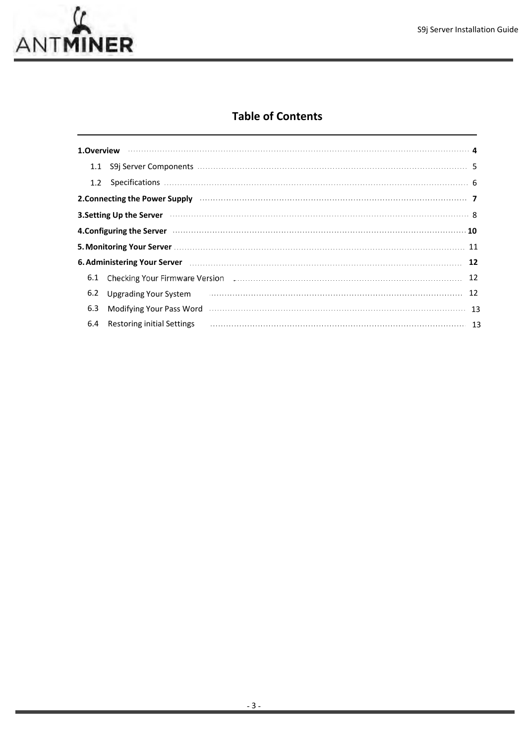

## **Table of Contents**

| 1.1 |                            |                                                                                                                         |    |
|-----|----------------------------|-------------------------------------------------------------------------------------------------------------------------|----|
| 1.2 |                            |                                                                                                                         |    |
|     |                            | 2. Connecting the Power Supply <b>construction of the Connective Connecting the Power Supply</b>                        |    |
|     |                            | 3. Setting Up the Server <b>Constitution Constitution Constitution</b> and the server of the server of the server of t  |    |
|     |                            | 4.Configuring the Server <b>construction and the Server of Allie</b> n and Table 3.10 and Table 3.10 and Table 3.10 and |    |
|     |                            | 5. Monitoring Your Server <b>Manual According to the Contract of According Contract Contract Contract Contract Cont</b> |    |
|     |                            | 6. Administering Your Server <b>Manual Accord Contract Contract Contract Contract Contract Contract Contract Contr</b>  |    |
|     |                            | 6.1 Checking Your Firmware Version <b>Example 2018</b> 22 Checking Your Firmware Version 22                             |    |
| 6.2 |                            | Upgrading Your System <b>Commission Commission</b> Upgrading Your System                                                | 12 |
| 6.3 |                            | Modifying Your Pass Word Museum Manuscript (13 and 20 and 20 and 20 and 20 and 20 and 20 and 20 and 20 and 20           |    |
| 6.4 | Restoring initial Settings |                                                                                                                         |    |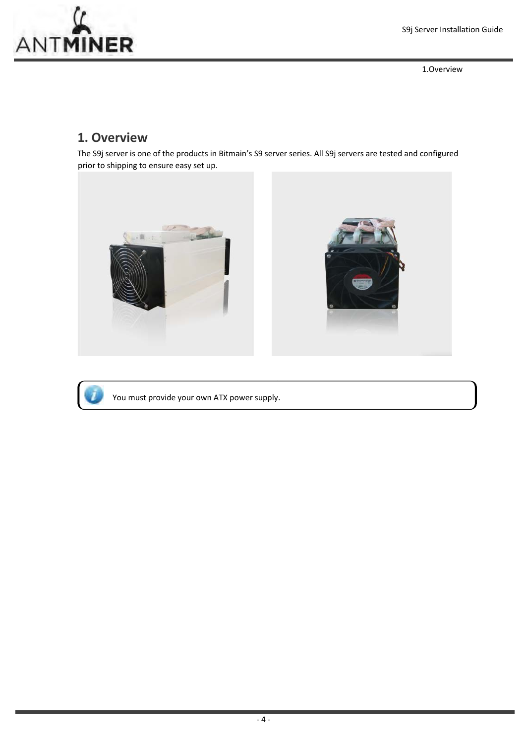

1.Overview

## **1. Overview**

The S9j server is one of the products in Bitmain's S9 server series. All S9j servers are tested and configured prior to shipping to ensure easy set up.





You must provide your own ATX power supply.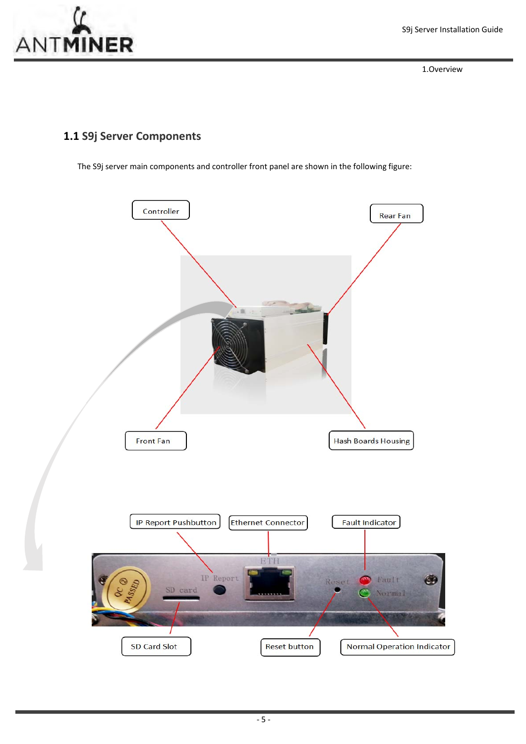

1.Overview

## **1.1 S9j Server Components**

The S9j server main components and controller front panel are shown in the following figure:

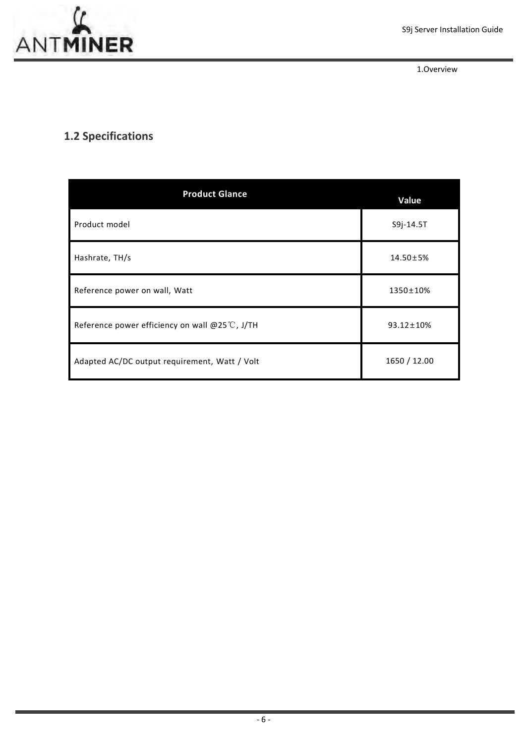1.Overview

## **1.2 Specifications**

| <b>Product Glance</b>                                    | Value            |
|----------------------------------------------------------|------------------|
| Product model                                            | S9j-14.5T        |
| Hashrate, TH/s                                           | $14.50 \pm 5\%$  |
| Reference power on wall, Watt                            | 1350±10%         |
| Reference power efficiency on wall @25 $\degree$ C, J/TH | $93.12 \pm 10\%$ |
| Adapted AC/DC output requirement, Watt / Volt            | 1650 / 12.00     |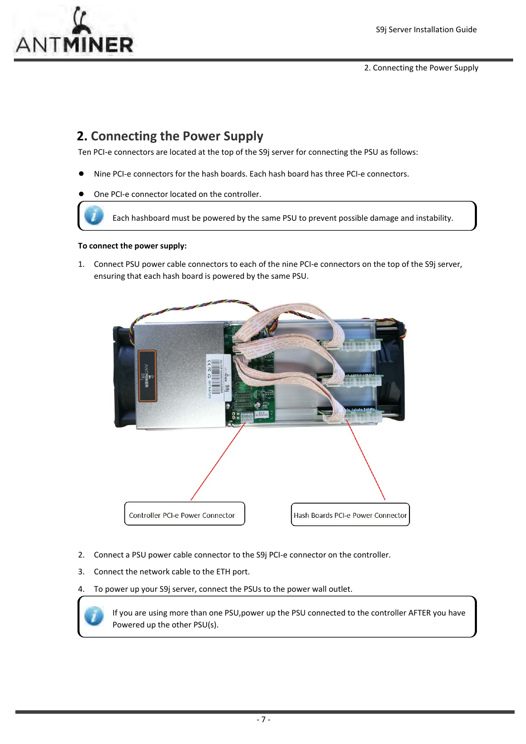

2. Connecting the Power Supply

## **2. Connecting the Power Supply**

Ten PCI-e connectors are located at the top of the S9j server for connecting the PSU as follows:

- Nine PCI-e connectors for the hash boards. Each hash board has three PCI-e connectors.
- One PCI-e connector located on the controller.

Each hashboard must be powered by the same PSU to prevent possible damage and instability.

#### **To connect the power supply:**

1. Connect PSU power cable connectors to each of the nine PCI-e connectors on the top of the S9j server, ensuring that each hash board is powered by the same PSU.



- 2. Connect a PSU power cable connector to the S9j PCI-e connector on the controller.
- 3. Connect the network cable to the ETH port.

4. To power up your S9j server, connect the PSUs to the power wall outlet.

If you are using more than one PSU,power up the PSU connected to the controller AFTER you have Powered up the other PSU(s).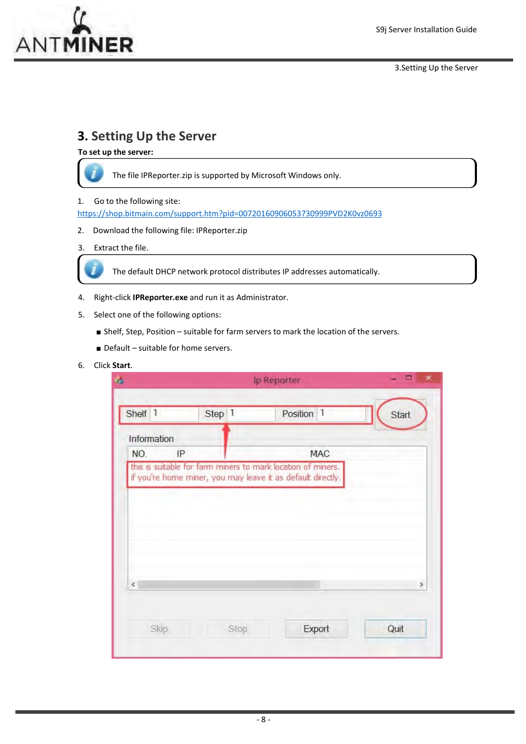

3.Setting Up the Server

## **3. Setting Up the Server**

**To set up the server:**



The file IPReporter.zip is supported by Microsoft Windows only.

1. Go to the following site:

https://shop.bitmain.com/support.htm?pid=00720160906053730999PVD2K0vz0693

2. Download the following file: IPReporter.zip

### 3. Extract the file.



The default DHCP network protocol distributes IP addresses automatically.

- 4. Right‐click **IPReporter.exe** and run it as Administrator.
- 5. Select one of the following options:
	- Shelf, Step, Position suitable for farm servers to mark the location of the servers.
	- Default suitable for home servers.

### 6. Click **Start**.

|                                                              |                                                             |      | Ip Reporter |                |       |
|--------------------------------------------------------------|-------------------------------------------------------------|------|-------------|----------------|-------|
| Shelf 1                                                      | Step 1                                                      |      | Position    | $\overline{1}$ | Start |
| Information                                                  |                                                             |      |             |                |       |
| NO.<br>IP                                                    |                                                             |      |             | MAC            |       |
| this is suitable for farm miners to mark location of miners. |                                                             |      |             |                |       |
|                                                              | if you're home miner, you may leave it as default directly. |      |             |                |       |
|                                                              |                                                             |      |             |                |       |
|                                                              |                                                             |      |             |                |       |
|                                                              |                                                             |      |             |                |       |
|                                                              |                                                             |      |             |                |       |
|                                                              |                                                             |      |             |                |       |
|                                                              |                                                             |      |             |                |       |
| $\epsilon$                                                   |                                                             |      |             |                | Þ     |
|                                                              |                                                             |      |             |                |       |
| Skip                                                         |                                                             | Stop |             | Export         | Quit  |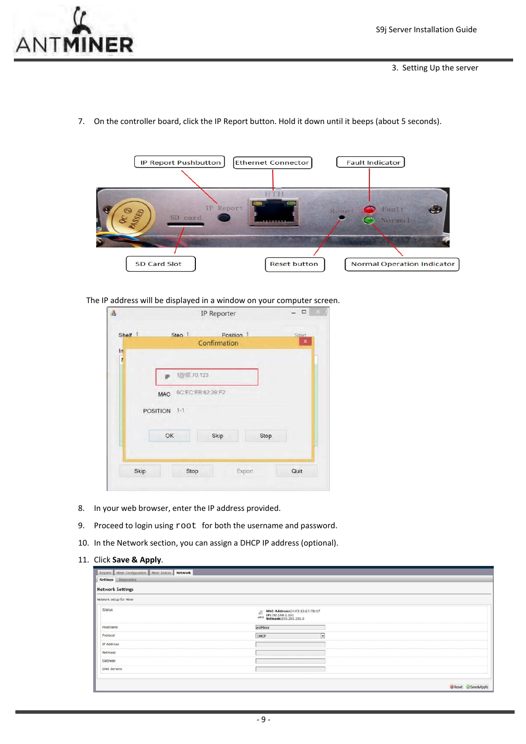

7. On the controller board, click the IP Report button. Hold it down until it beeps (about 5 seconds).



The IP address will be displayed in a window on your computer screen.

| Shelf 1    | Step 1                          | Position 1   |      | Start          |
|------------|---------------------------------|--------------|------|----------------|
|            |                                 | Confirmation |      | $\pmb{\times}$ |
| $\ln$<br>ì |                                 |              |      |                |
|            | $1 - .70.123$<br>IP             |              |      |                |
|            | 6C:EC:EB:62:39:F2<br><b>MAC</b> |              |      |                |
|            | POSITION 1-1                    |              |      |                |
|            | OK                              | Skip         | Stop |                |

- 8. In your web browser, enter the IP address provided.
- 9. Proceed to login using  $root$  for both the username and password.
- 10. In the Network section, you can assign a DHCP IP address (optional).

#### 11. Click **Save & Apply**.

| <b>Network Settings</b> |                                                                                                                                                            |  |
|-------------------------|------------------------------------------------------------------------------------------------------------------------------------------------------------|--|
| Network setup for Miner |                                                                                                                                                            |  |
| Status                  | $\begin{tabular}{ll} \hline \hline \textbf{BAAC-Address:} C4: & 73:12:67:78:17\\ \hline 1P1:92.168.1.101\\ \hline 1P1:92.168.1.101\\ \hline \end{tabular}$ |  |
| Hostname                | antMiner                                                                                                                                                   |  |
| Protocol                | DHCP                                                                                                                                                       |  |
| IP Address              |                                                                                                                                                            |  |
| Netmask                 |                                                                                                                                                            |  |
| Gateway                 |                                                                                                                                                            |  |
| DNS Servers             |                                                                                                                                                            |  |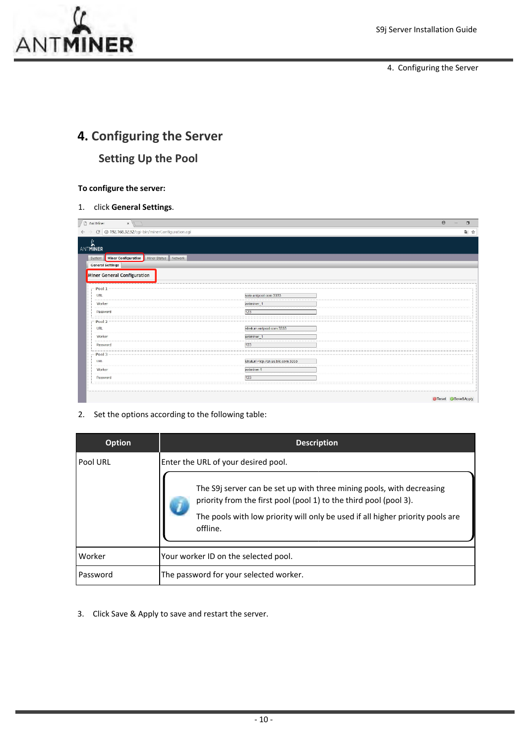

4. Configuring the Server

## **4. Configuring the Server Setting Up the Pool**

### **To configure the server:**

1. click **General Settings**.

| Ant Miner<br>$\times$                                              |                                  | $\Theta$<br>$\Box$ |
|--------------------------------------------------------------------|----------------------------------|--------------------|
| C   0 192.168.32.92/cgi-bin/minerConfiguration.cgi<br>$\leftarrow$ |                                  | ■☆                 |
| ANTMINER                                                           |                                  |                    |
| System   Miner Configuration   Miner Status   Network              |                                  |                    |
| <b>General Settings</b>                                            |                                  |                    |
| Miner General Configuration                                        |                                  |                    |
|                                                                    |                                  |                    |
| Pool 1                                                             |                                  |                    |
| URL                                                                | solo.antpool.com:3333            |                    |
| Worker                                                             | antminer_1                       |                    |
| Password                                                           | 123                              |                    |
| $-pool2 -$                                                         |                                  |                    |
| URL                                                                | stratum antpool com:3333         |                    |
| Worker                                                             | antminer_1                       |                    |
| Password                                                           | 123                              |                    |
| $-$ Pool 3 $-$                                                     |                                  |                    |
| <b>URL</b>                                                         | stratum+tcp://cn.ss.btc.com.3333 |                    |
| Worker                                                             | antminer.1                       |                    |
| Password                                                           | 123                              |                    |
|                                                                    |                                  |                    |
|                                                                    |                                  |                    |
|                                                                    |                                  | Reset Save&Apply   |

2. Set the options according to the following table:

| <b>Option</b> | <b>Description</b>                                                                                                                                                                                                                                                              |
|---------------|---------------------------------------------------------------------------------------------------------------------------------------------------------------------------------------------------------------------------------------------------------------------------------|
| Pool URL      | Enter the URL of your desired pool.<br>The S9j server can be set up with three mining pools, with decreasing<br>priority from the first pool (pool 1) to the third pool (pool 3).<br>The pools with low priority will only be used if all higher priority pools are<br>offline. |
| Worker        | Your worker ID on the selected pool.                                                                                                                                                                                                                                            |
| Password      | The password for your selected worker.                                                                                                                                                                                                                                          |

3. Click Save & Apply to save and restart the server.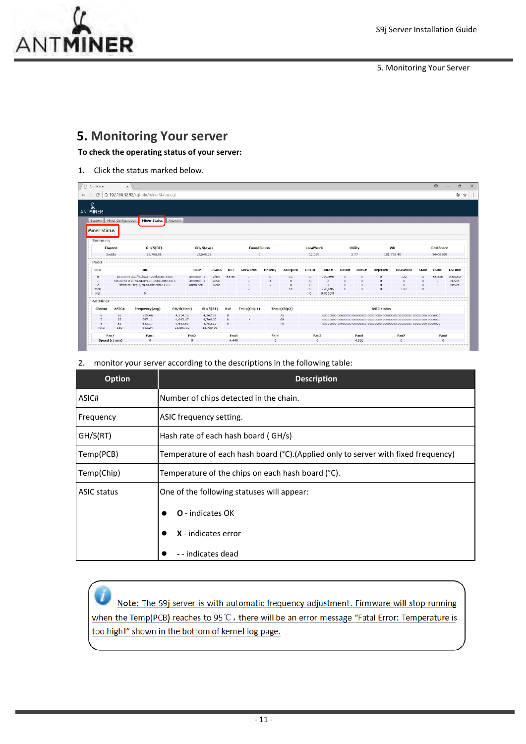

5. Monitoring Your Server

## **5. Monitoring Your server**

**To check the operating status of your server:**

1. Click the status marked below.

| / □ Ant Miner                 | $\times$            |                                        |                  |             |               |           |                    |          |             |           |              |        |                    |                    |                  |          | $\Theta$         | $\Box$        |
|-------------------------------|---------------------|----------------------------------------|------------------|-------------|---------------|-----------|--------------------|----------|-------------|-----------|--------------|--------|--------------------|--------------------|------------------|----------|------------------|---------------|
| C                             |                     | 192.168.32.92/cgi-bin/minerStatus.cgi  |                  |             |               |           |                    |          |             |           |              |        |                    |                    |                  |          |                  | 4 全           |
| ANTMINER                      |                     |                                        |                  |             |               |           |                    |          |             |           |              |        |                    |                    |                  |          |                  |               |
| System<br><b>Miner Status</b> | Miner Configuration | <b>Miner Status</b>                    | Network          |             |               |           |                    |          |             |           |              |        |                    |                    |                  |          |                  |               |
| Summary<br>Elapsed            |                     | GH/S(RT)                               |                  | GH/S(avg)   |               |           | <b>FoundBlocks</b> |          |             | LocalWork |              |        | Utility            |                    | wu               |          | <b>BestShare</b> |               |
| 3m58s                         |                     | 13,700.96                              |                  | 13,848.28   |               |           |                    |          |             | 12.059    |              |        | 2,77<br>181,738,49 |                    |                  | 24408889 |                  |               |
| $Pools -$                     |                     |                                        |                  |             |               |           |                    |          |             |           |              |        |                    |                    |                  |          |                  |               |
| Pool                          |                     | <b>URL</b>                             |                  | <b>User</b> | <b>Status</b> | Diff      | <b>GetWorks</b>    | Priority | Accepted    | Diff1#    | DiffA#       | DiffR# | Diff <sub>S#</sub> | Rejected           | <b>Discarded</b> | Stale    | <b>LSDiff</b>    | <b>LSTime</b> |
|                               |                     | stratum+tcp://solo.antpool.com:3333    |                  | antminer_1  | Alive         | 65.5K     |                    |          |             |           | 720.896      |        |                    |                    | 122              | $\Omega$ | 65,536           | 0:00:02       |
|                               |                     | stratum+tcp://stratum.antpool.com:3333 |                  | antminer_1  | Dead          |           |                    |          |             |           | n            |        |                    |                    |                  | $\circ$  | $\Omega$         | Never         |
| $\overline{2}$                |                     | stratum+tcp://cn.ss.btc.com:3333       |                  | antminer.1  | Dead          |           |                    |          |             |           | $\mathbf{a}$ |        |                    |                    | $\Omega$         | $\alpha$ | n                | Never         |
| total                         |                     |                                        |                  |             |               |           |                    |          | 11          | $\Omega$  | 720,896      |        |                    | $\Omega$           | 122              | $\circ$  |                  |               |
| <b>HW</b>                     |                     | n                                      |                  |             |               |           |                    |          |             | n         | 0.0000%      |        |                    |                    |                  |          |                  |               |
| AntMiner                      |                     |                                        |                  |             |               |           |                    |          |             |           |              |        |                    |                    |                  |          |                  |               |
| Chain#                        | ASIC#               | Frequency(avq)                         | GH/S(ideal)      | GH/S(RT)    |               | <b>HW</b> | Temp(Chip1)        |          | Temp(Chip2) |           |              |        |                    | <b>ASIC status</b> |                  |          |                  |               |
| 6                             | 63                  | 599.46                                 | 4,214.12         | 4,242.25    |               | $\Omega$  |                    |          | 75          |           |              |        |                    |                    |                  |          |                  |               |
| $\overline{7}$                | 63                  | 647.11                                 | 4.643.67         | 4,706.60    |               | $\circ$   |                    |          | 68          |           |              |        |                    |                    |                  |          |                  |               |
| $\mathbf{S}$                  | 63                  | 653.17                                 | 4,643.53         | 4,752.11    |               | $\sigma$  |                    |          | 70          |           |              |        |                    |                    |                  |          |                  |               |
| Total                         | 189                 | 633.24                                 | 13,501.32        | 13,700.96   |               |           |                    |          |             |           |              |        |                    |                    |                  |          |                  |               |
| Fan#                          |                     | Fan1                                   | Fan <sub>2</sub> |             |               | Fan3      |                    | Fan4     |             | Fan5      |              |        | Fan6               |                    | Fan7             |          | Fan <sub>8</sub> |               |
|                               | Speed (r/min)       | $\sigma$                               | $\,$ 0 $\,$      |             |               | 4,440     |                    | $\Box$   |             | $\Box$    |              |        | 4,920              |                    | $\sigma$         |          | $\mathbf{0}$     |               |

### 2. monitor your server according to the descriptions in the following table:

| <b>Option</b>      | <b>Description</b>                                                                 |  |  |  |  |  |
|--------------------|------------------------------------------------------------------------------------|--|--|--|--|--|
| ASIC#              | Number of chips detected in the chain.                                             |  |  |  |  |  |
| Frequency          | ASIC frequency setting.                                                            |  |  |  |  |  |
| GH/S(RT)           | Hash rate of each hash board (GH/s)                                                |  |  |  |  |  |
| Temp(PCB)          | Temperature of each hash board (°C). (Applied only to server with fixed frequency) |  |  |  |  |  |
| Temp(Chip)         | Temperature of the chips on each hash board (°C).                                  |  |  |  |  |  |
| <b>ASIC status</b> | One of the following statuses will appear:                                         |  |  |  |  |  |
|                    | <b>O</b> - indicates OK                                                            |  |  |  |  |  |
|                    | X - indicates error                                                                |  |  |  |  |  |
|                    | - - indicates dead                                                                 |  |  |  |  |  |

Note: The S9j server is with automatic frequency adjustment. Firmware will stop running when the Temp(PCB) reaches to 95°C, there will be an error message "Fatal Error: Temperature is too high!" shown in the bottom of kernel log page.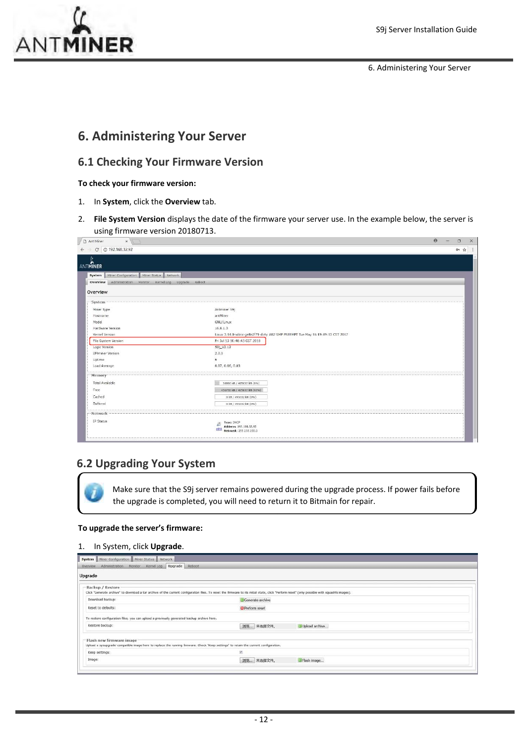

6. Administering Your Server

## **6. Administering Your Server**

## **6.1 Checking Your Firmware Version**

#### **To check your firmware version:**

- 1. In **System**, click the **Overview** tab.
- 2. **File System Version** displays the date of the firmware your server use. In the example below, the server is using firmware version 20180713.

| $\leftarrow$ $\rightarrow$ C 0 192.168.32.92              |                                                                                 | ◎ ☆ : |
|-----------------------------------------------------------|---------------------------------------------------------------------------------|-------|
| ANTMINER                                                  |                                                                                 |       |
| System   Miner Configuration   Miner Status   Network     |                                                                                 |       |
| Overview Administration Monitor Kernel Log Upgrade Reboot |                                                                                 |       |
|                                                           |                                                                                 |       |
| Overview                                                  |                                                                                 |       |
| -System                                                   |                                                                                 |       |
| Miner Type                                                | Antminer 59                                                                     |       |
| Hostname                                                  | antMiner                                                                        |       |
| Model                                                     | GNU/Linux                                                                       |       |
| Hardware Version                                          | 16.8.1.3                                                                        |       |
| Kernel Version                                            | Linux 3.14.0-xilinx-ge8a2f71-dirty #82 SMP PREEMPT Tue May 16 19:49:53 CST 2017 |       |
| File System Version                                       | Fri Jul 13 10:46:43 CST 2018                                                    |       |
| Logic Version                                             | $S9i_V2.12$                                                                     |       |
| <b>BMminer Version</b>                                    | 2.0.0                                                                           |       |
| Uptime                                                    | 6                                                                               |       |
| Load Average                                              | 0.07, 0.06, 0.03                                                                |       |
| Memory-                                                   |                                                                                 |       |
| <b>Total Available</b>                                    | 38895 kB / 495632 kB (8%)                                                       |       |
| Free                                                      | 456735 kB / 495632 kB (92%)                                                     |       |
| Cached                                                    | 0 kB / 495632 kB (0%)                                                           |       |
| Buffered                                                  | 0 kB / 495632 kB (0%)                                                           |       |
|                                                           |                                                                                 |       |
| - Network                                                 |                                                                                 |       |
| IP Status                                                 | Type: DHCP                                                                      |       |
|                                                           | Address: 192.168.32.92<br>stho<br>Netmask: 255.255.255.0                        |       |

## **6.2 Upgrading Your System**

Make sure that the S9j server remains powered during the upgrade process. If power fails before the upgrade is completed, you will need to return it to Bitmain for repair.

#### **To upgrade the server's firmware:**

### 1. In System, click **Upgrade**.

| System   Miner Configuration   Miner Status   Network<br>Administration Monitor Kernel Log Upgrade Reboot<br>Overview |                                                                                                                                                                                                |  |
|-----------------------------------------------------------------------------------------------------------------------|------------------------------------------------------------------------------------------------------------------------------------------------------------------------------------------------|--|
| Upgrade                                                                                                               |                                                                                                                                                                                                |  |
| Backup / Restore                                                                                                      | Click "Generate archive" to download a tar archive of the current configuration files. To reset the firmware to its initial state, click "Perform reset" (only possible with squashfs images). |  |
| Download backup:                                                                                                      | Generate archive                                                                                                                                                                               |  |
| Reset to defaults:                                                                                                    | Perform reset                                                                                                                                                                                  |  |
| To restore configuration files, you can upload a previously generated backup archive here.                            |                                                                                                                                                                                                |  |
| Restore backup:                                                                                                       | 浏览 未选择文件。<br>Upload archive                                                                                                                                                                    |  |
| Flash new firmware image                                                                                              | Upload a sysupgrade-compatible image here to replace the running firmware. Check "Keep settings" to retain the current configuration.                                                          |  |
| Keep settings:                                                                                                        | 凾                                                                                                                                                                                              |  |
| Image:                                                                                                                | 调选 未选择文件。<br>Flash Image                                                                                                                                                                       |  |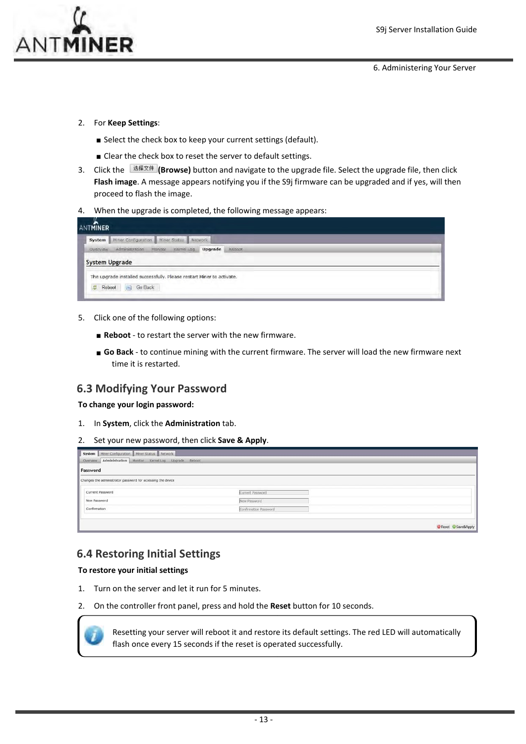6. Administering Your Server

- 2. For **Keep Settings**:
	- Select the check box to keep your current settings (default).
	- Clear the check box to reset the server to default settings.
- 3. Click the **(Browse)** button and navigate to the upgrade file. Select the upgrade file, then click **Flash image**. A message appears notifying you if the S9j firmware can be upgraded and if yes, will then proceed to flash the image.
- 4. When the upgrade is completed, the following message appears:

| <b>ANTMINER</b>                                                       |  |
|-----------------------------------------------------------------------|--|
| System   Miner Configuration   Miner Status   Network                 |  |
| Administration Monitor<br>Kernel Log Upgrade<br>Overview<br>Reboot    |  |
| System Upgrade                                                        |  |
| The upgrade installed successfully. Please restart Miner to activate. |  |
| $\left( 3 - \right)$<br>Go Back<br>Reboot<br>副                        |  |

- 5. Click one of the following options:
	- **Reboot** to restart the server with the new firmware.
	- **Go Back** ‐ to continue mining with the current firmware. The server will load the new firmware next time it is restarted.

### **6.3 Modifying Your Password**

**To change your login password:**

- 1. In **System**, click the **Administration** tab.
- 2. Set your new password, then click **Save & Apply**.

| System Miner Configuration Miner Status Network<br>Administration Monitor Kernel Log Upgrade Reboot<br>Overview |                       |                  |
|-----------------------------------------------------------------------------------------------------------------|-----------------------|------------------|
| Password                                                                                                        |                       |                  |
| Changes the administrator password for accessing the device                                                     |                       |                  |
| Current Password                                                                                                | Current Password      |                  |
| New Password                                                                                                    | New Password          |                  |
| Confirmation                                                                                                    | Confirmation Password |                  |
|                                                                                                                 |                       |                  |
|                                                                                                                 |                       | Reset Save&Apply |

## **6.4 Restoring Initial Settings**

#### **To restore your initial settings**

- 1. Turn on the server and let it run for 5 minutes.
- 2. On the controller front panel, press and hold the **Reset** button for 10 seconds.



Resetting your server will reboot it and restore its default settings. The red LED will automatically flash once every 15 seconds if the reset is operated successfully.